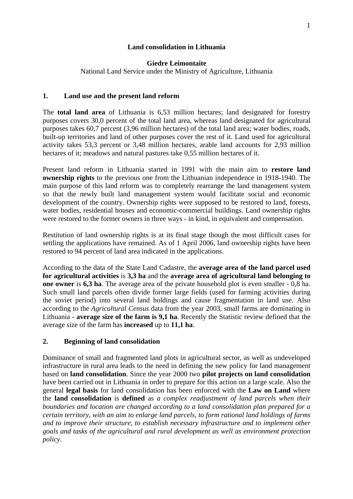### **Land consolidation in Lithuania**

#### **Giedre Leimontaite**

National Land Service under the Ministry of Agriculture, Lithuania

#### **1. Land use and the present land reform**

The **total land area** of Lithuania is 6,53 million hectares; land designated for forestry purposes covers 30,0 percent of the total land area, whereas land designated for agricultural purposes takes 60,7 percent (3,96 million hectares) of the total land area; water bodies, roads, built-up territories and land of other purposes cover the rest of it. Land used for agricultural activity takes 53,3 percent or 3,48 million hectares, arable land accounts for 2,93 million hectares of it; meadows and natural pastures take 0,55 million hectares of it.

Present land reform in Lithuania started in 1991 with the main aim to **restore land ownership rights** to the previous one from the Lithuanian independence in 1918-1940. The main purpose of this land reform was to completely rearrange the land management system so that the newly built land management system would facilitate social and economic development of the country. Ownership rights were supposed to be restored to land, forests, water bodies, residential houses and economic-commercial buildings. Land ownership rights were restored to the former owners in three ways - in kind, in equivalent and compensation.

Restitution of land ownership rights is at its final stage though the most difficult cases for settling the applications have remained. As of 1 April 2006, land ownership rights have been restored to 94 percent of land area indicated in the applications.

According to the data of the State Land Cadastre, the **average area of the land parcel used for agricultural activities** is **3,3 ha** and the **average area of agricultural land belonging to one owner** is **6,3 ha**. The average area of the private household plot is even smaller - 0,8 ha. Such small land parcels often divide former large fields (used for farming activities during the soviet period) into several land holdings and cause fragmentation in land use. Also according to the *Agricultural Census* data from the year 2003, small farms are dominating in Lithuania - **average size of the farm is 9,1 ha**. Recently the Statistic review defined that the average size of the farm has **increased** up to **11,1 ha**.

## **2. Beginning of land consolidation**

Dominance of small and fragmented land plots in agricultural sector, as well as undeveloped infrastructure in rural area leads to the need in defining the new policy for land management based on **land consolidation**. Since the year 2000 two **pilot projects on land consolidation** have been carried out in Lithuania in order to prepare for this action on a large scale. Also the general **legal basis** for land consolidation has been enforced with the **Law on Land** where the **land consolidation** is **defined** as *a complex readjustment of land parcels when their boundaries and location are changed according to a land consolidation plan prepared for a certain territory, with an aim to enlarge land parcels, to form rational land holdings of farms and to improve their structure, to establish necessary infrastructure and to implement other goals and tasks of the agricultural and rural development as well as environment protection policy.*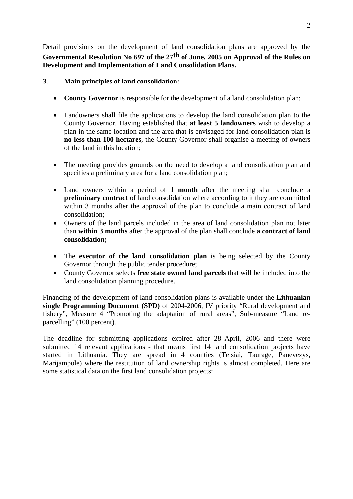Detail provisions on the development of land consolidation plans are approved by the **Governmental Resolution No 697 of the 27th of June, 2005 on Approval of the Rules on Development and Implementation of Land Consolidation Plans.** 

# **3. Main principles of land consolidation:**

- **County Governor** is responsible for the development of a land consolidation plan;
- Landowners shall file the applications to develop the land consolidation plan to the County Governor. Having established that **at least 5 landowners** wish to develop a plan in the same location and the area that is envisaged for land consolidation plan is **no less than 100 hectares**, the County Governor shall organise a meeting of owners of the land in this location;
- The meeting provides grounds on the need to develop a land consolidation plan and specifies a preliminary area for a land consolidation plan;
- Land owners within a period of **1 month** after the meeting shall conclude a **preliminary contract** of land consolidation where according to it they are committed within 3 months after the approval of the plan to conclude a main contract of land consolidation;
- Owners of the land parcels included in the area of land consolidation plan not later than **within 3 months** after the approval of the plan shall conclude **a contract of land consolidation;**
- The **executor of the land consolidation plan** is being selected by the County Governor through the public tender procedure;
- County Governor selects **free state owned land parcels** that will be included into the land consolidation planning procedure.

Financing of the development of land consolidation plans is available under the **Lithuanian single Programming Document (SPD)** of 2004-2006, IV priority "Rural development and fishery", Measure 4 "Promoting the adaptation of rural areas", Sub-measure "Land reparcelling" (100 percent).

The deadline for submitting applications expired after 28 April, 2006 and there were submitted 14 relevant applications - that means first 14 land consolidation projects have started in Lithuania. They are spread in 4 counties (Telsiai, Taurage, Panevezys, Marijampole) where the restitution of land ownership rights is almost completed. Here are some statistical data on the first land consolidation projects: